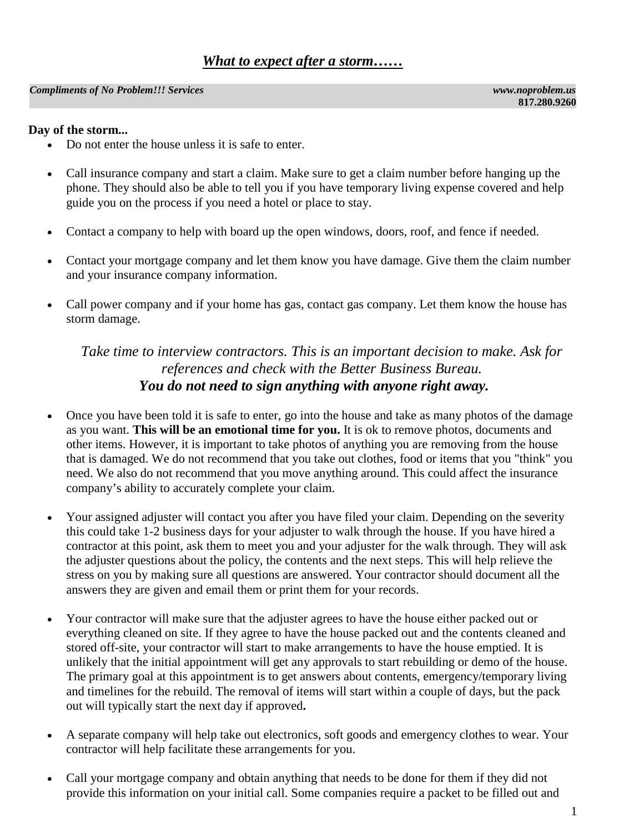#### *Compliments of No Problem!!! Services www.noproblem.us*

### **Day of the storm...**

- Do not enter the house unless it is safe to enter.
- Call insurance company and start a claim. Make sure to get a claim number before hanging up the phone. They should also be able to tell you if you have temporary living expense covered and help guide you on the process if you need a hotel or place to stay.
- Contact a company to help with board up the open windows, doors, roof, and fence if needed.
- Contact your mortgage company and let them know you have damage. Give them the claim number and your insurance company information.
- Call power company and if your home has gas, contact gas company. Let them know the house has storm damage.

### *Take time to interview contractors. This is an important decision to make. Ask for references and check with the Better Business Bureau. You do not need to sign anything with anyone right away.*

- Once you have been told it is safe to enter, go into the house and take as many photos of the damage as you want. **This will be an emotional time for you.** It is ok to remove photos, documents and other items. However, it is important to take photos of anything you are removing from the house that is damaged. We do not recommend that you take out clothes, food or items that you "think" you need. We also do not recommend that you move anything around. This could affect the insurance company's ability to accurately complete your claim.
- Your assigned adjuster will contact you after you have filed your claim. Depending on the severity this could take 1-2 business days for your adjuster to walk through the house. If you have hired a contractor at this point, ask them to meet you and your adjuster for the walk through. They will ask the adjuster questions about the policy, the contents and the next steps. This will help relieve the stress on you by making sure all questions are answered. Your contractor should document all the answers they are given and email them or print them for your records.
- Your contractor will make sure that the adjuster agrees to have the house either packed out or everything cleaned on site. If they agree to have the house packed out and the contents cleaned and stored off-site, your contractor will start to make arrangements to have the house emptied. It is unlikely that the initial appointment will get any approvals to start rebuilding or demo of the house. The primary goal at this appointment is to get answers about contents, emergency/temporary living and timelines for the rebuild. The removal of items will start within a couple of days, but the pack out will typically start the next day if approved**.**
- A separate company will help take out electronics, soft goods and emergency clothes to wear. Your contractor will help facilitate these arrangements for you.
- Call your mortgage company and obtain anything that needs to be done for them if they did not provide this information on your initial call. Some companies require a packet to be filled out and